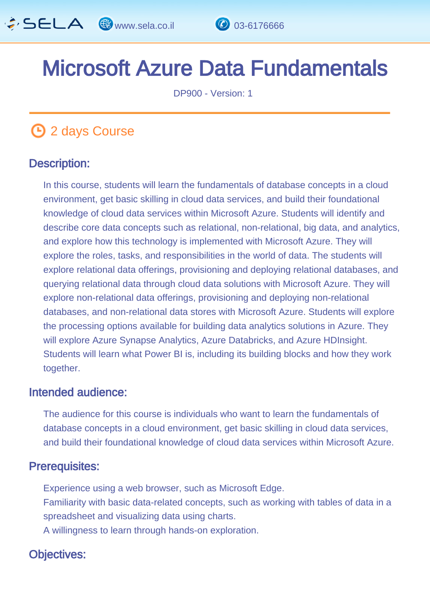

# Microsoft Azure Data Fundamentals

DP900 - Version: 1

# **1** 2 days Course

### Description: Ī

In this course, students will learn the fundamentals of database concepts in a cloud environment, get basic skilling in cloud data services, and build their foundational knowledge of cloud data services within Microsoft Azure. Students will identify and describe core data concepts such as relational, non-relational, big data, and analytics, and explore how this technology is implemented with Microsoft Azure. They will explore the roles, tasks, and responsibilities in the world of data. The students will explore relational data offerings, provisioning and deploying relational databases, and querying relational data through cloud data solutions with Microsoft Azure. They will explore non-relational data offerings, provisioning and deploying non-relational databases, and non-relational data stores with Microsoft Azure. Students will explore the processing options available for building data analytics solutions in Azure. They will explore Azure Synapse Analytics, Azure Databricks, and Azure HDInsight. Students will learn what Power BI is, including its building blocks and how they work together.

#### Intended audience: I.

The audience for this course is individuals who want to learn the fundamentals of database concepts in a cloud environment, get basic skilling in cloud data services, and build their foundational knowledge of cloud data services within Microsoft Azure.

### Prerequisites: Ï

Experience using a web browser, such as Microsoft Edge. Familiarity with basic data-related concepts, such as working with tables of data in a spreadsheet and visualizing data using charts. A willingness to learn through hands-on exploration.

# Objectives: